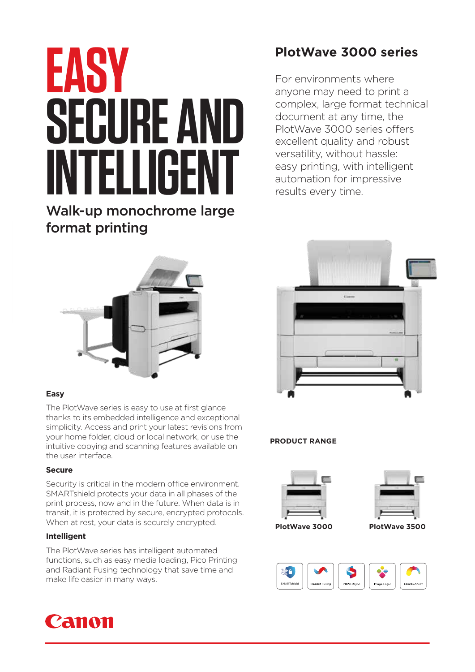# **EASY SECURE AND INTELLIGENT**

Walk-up monochrome large format printing

# **PlotWave 3000 series**

For environments where anyone may need to print a complex, large format technical document at any time, the PlotWave 3000 series offers excellent quality and robust versatility, without hassle: easy printing, with intelligent automation for impressive results every time.



### **Easy**

The PlotWave series is easy to use at first glance thanks to its embedded intelligence and exceptional simplicity. Access and print your latest revisions from your home folder, cloud or local network, or use the intuitive copying and scanning features available on the user interface.

### **Secure**

Security is critical in the modern office environment. SMARTshield protects your data in all phases of the print process, now and in the future. When data is in transit, it is protected by secure, encrypted protocols. When at rest, your data is securely encrypted.

### **Intelligent**

The PlotWave series has intelligent automated functions, such as easy media loading, Pico Printing and Radiant Fusing technology that save time and make life easier in many ways.





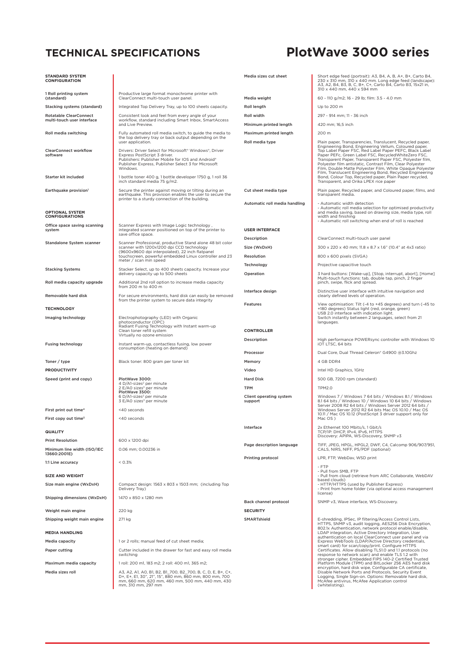## **TECHNICAL SPECIFICATIONS PlotWave 3000 series**

| <b>STANDARD SYSTEM</b><br><b>CONFIGURATION</b>    |                                                                                                                                                                                                                                         | Media sizes cut sheet              | Short edge feed (portrait): A3, B4, A, B, A+, B+, Carto B4,<br>230 x 310 mm, 310 x 440 mm. Long edge feed (landscape):<br>A3, A2, B4, B3, B, C, B+, C+, Carto B4, Carto B3, 15x21 in,                                                                                                                                                                                                                                     |
|---------------------------------------------------|-----------------------------------------------------------------------------------------------------------------------------------------------------------------------------------------------------------------------------------------|------------------------------------|---------------------------------------------------------------------------------------------------------------------------------------------------------------------------------------------------------------------------------------------------------------------------------------------------------------------------------------------------------------------------------------------------------------------------|
| 1 Roll printing system<br>(standard)              | Productive large format monochrome printer with<br>ClearConnect multi-touch user panel.                                                                                                                                                 | Media weight                       | 310 x 440 mm, 440 x 594 mm<br>60 - 110 g/m2; 16 - 29 lb; film: 3.5 - 4.0 mm                                                                                                                                                                                                                                                                                                                                               |
| Stacking systems (standard)                       | Integrated Top Delivery Tray, up to 100 sheets capacity.                                                                                                                                                                                | Roll length                        | Up to 200 m                                                                                                                                                                                                                                                                                                                                                                                                               |
| <b>Rotatable ClearConnect</b>                     | Consistent look and feel from every angle of your                                                                                                                                                                                       | Roll width                         | 297 - 914 mm; 11 - 36 inch                                                                                                                                                                                                                                                                                                                                                                                                |
| multi-touch user interface                        | workflow, standard including Smart Inbox, SmartAccess<br>and Live Preview.                                                                                                                                                              | Minimum printed length             | 420 mm; 16,5 inch                                                                                                                                                                                                                                                                                                                                                                                                         |
| Roll media switching                              | Fully automated roll media switch, to guide the media to                                                                                                                                                                                | Maximum printed length             | 200 m                                                                                                                                                                                                                                                                                                                                                                                                                     |
|                                                   | the top delivery tray or back output depending on the<br>user application.                                                                                                                                                              | Roll media type                    | Plain paper, Transparencies, Translucent, Recycled paper,                                                                                                                                                                                                                                                                                                                                                                 |
| <b>ClearConnect workflow</b><br>software          | Drivers: Driver Select for Microsoft <sup>®</sup> Windows <sup>®</sup> , Driver<br>Express PostScript 3 driver.<br>Publishers: Publisher Mobile for IOS and Android®<br>Publisher Express, Publisher Select 3 for Microsoft<br>Windows. |                                    | Engineering Bond, Engineering Vellum, Coloured paper,<br>Top Label Paper FSC, Red Label Paper PEFC, Black Label<br>Paper PEFc, Green Label FSC, RecycledWhiteZero FSC,<br>Transparent Paper, Transparent Paper FSC, Polyester film,<br>Polyester film antistatic, Contrast Film, Clear Polyester<br>Film, Double Matte Polyester Film, White Opaque Polyester<br>Film, Translucent Engineering Bond, Recycled Engineering |
| Starter kit included                              | 1 bottle toner 400 g, 1 bottle developer 1750 g, 1 roll 36<br>inch standard media 75 g/m2.                                                                                                                                              |                                    | Bond, Colour Top, Recycled paper, Plain Paper recycled,<br>Transparent, and Orika LPEX rice paper                                                                                                                                                                                                                                                                                                                         |
| Earthquake provision <sup>1</sup>                 | Secure the printer against moving or tilting during an<br>earthquake. This provision enables the user to secure the<br>printer to a sturdy connection of the building.                                                                  | Cut sheet media type               | Plain paper, Recycled paper, and Coloured paper, films, and<br>transparent media.                                                                                                                                                                                                                                                                                                                                         |
| <b>OPTIONAL SYSTEM</b><br><b>CONFIGURATIONS</b>   |                                                                                                                                                                                                                                         | Automatic roll media handling      | - Automatic width detection<br>- Automatic roll media selection for optimised productivity<br>and media saving, based on drawing size, media type, roll<br>width and finishing                                                                                                                                                                                                                                            |
| Office space saving scanning<br>system            | Scanner Express with Image Logic technology,<br>integrated scanner positioned on top of the printer to                                                                                                                                  | <b>USER INTERFACE</b>              | - Automatic roll switching when end of roll is reached                                                                                                                                                                                                                                                                                                                                                                    |
|                                                   | save office space.                                                                                                                                                                                                                      | Description                        | ClearConnect multi-touch user panel                                                                                                                                                                                                                                                                                                                                                                                       |
| Standalone System scanner                         | Scanner Professional, productive Stand alone 48 bit color<br>scanner with 1200x1200 dpi CCD technology                                                                                                                                  | Size (WxDxH)                       | 300 x 220 x 40 mm; 11.8 x 8.7 x 1.6" (10.4" at 4x3 ratio)                                                                                                                                                                                                                                                                                                                                                                 |
|                                                   | (9600x9600 dpi interpolated), 22 inch flatpanel<br>touchscreen, powerful embedded Linux controller and 23                                                                                                                               | Resolution                         | 800 x 600 pixels (SVGA)                                                                                                                                                                                                                                                                                                                                                                                                   |
|                                                   | meter / scan min speed                                                                                                                                                                                                                  | Technology                         | Projective capacitive touch                                                                                                                                                                                                                                                                                                                                                                                               |
| <b>Stacking Systems</b>                           | Stacker Select, up to 400 sheets capacity. Increase your<br>delivery capacity up to 500 sheets                                                                                                                                          | Operation                          | 3 hard buttons: [Wake-up], [Stop, interrupt, abort], [Home]                                                                                                                                                                                                                                                                                                                                                               |
| Roll media capacity upgrade                       | Additional 2nd roll option to increase media capacity<br>from 200 m to 400 m                                                                                                                                                            |                                    | Multi-touch functions: tab, double tap, pinch, 2 finger<br>pinch, swipe, flick and spread.                                                                                                                                                                                                                                                                                                                                |
| Removable hard disk                               | For secure environments, hard disk can easily be removed<br>from the printer system to secure data integrity                                                                                                                            | Interface design                   | Distinctive user interface with intuitive navigation and<br>clearly defined levels of operation.                                                                                                                                                                                                                                                                                                                          |
| <b>TECHNOLOGY</b>                                 |                                                                                                                                                                                                                                         | <b>Features</b>                    | View optimisation: Tilt (-4 to +45 degrees) and turn (-45 to<br>+180 degrees) Status light (red, orange, green)                                                                                                                                                                                                                                                                                                           |
| Imaging technology                                | Electrophotography (LED) with Organic<br>photoconductor (OPC)<br>Radiant Fusing Technology with Instant warm-up                                                                                                                         |                                    | USB 2.0 interface with indication light.<br>Switch instantly between 2 languages, select from 21<br>languages.                                                                                                                                                                                                                                                                                                            |
|                                                   | Clean toner refill system<br>Virtually no ozone emission                                                                                                                                                                                | <b>CONTROLLER</b>                  |                                                                                                                                                                                                                                                                                                                                                                                                                           |
| <b>Fusing technology</b>                          | Instant warm-up, contactless fusing, low power<br>consumption (heating on demand)                                                                                                                                                       | Description                        | High performance POWERsync controller with Windows 10<br>IOT LTSC, 64 bits                                                                                                                                                                                                                                                                                                                                                |
|                                                   |                                                                                                                                                                                                                                         | Processor                          | Dual Core, Dual Thread Celeron® G4900 @3.10Ghz                                                                                                                                                                                                                                                                                                                                                                            |
| Toner / type                                      | Black toner: 800 gram per toner kit                                                                                                                                                                                                     | Memory                             | 4 GB DDR4                                                                                                                                                                                                                                                                                                                                                                                                                 |
| <b>PRODUCTIVITY</b>                               | PlotWave 3000:                                                                                                                                                                                                                          | Video<br><b>Hard Disk</b>          | Intel HD Graphics, 1GHz                                                                                                                                                                                                                                                                                                                                                                                                   |
| Speed (print and copy)                            | 4 D/A1-sizes <sup>2</sup> per minute<br>2 E/A0 sizes <sup>3</sup> per minute                                                                                                                                                            | TPM                                | 500 GB, 7200 rpm (standard)<br><b>TPM2.0</b>                                                                                                                                                                                                                                                                                                                                                                              |
|                                                   | PlotWave 3500:<br>6 D/A1-sizes <sup>2</sup> per minute<br>3 E/A0 sizes <sup>3</sup> per minute                                                                                                                                          | Client operating system<br>support | Windows 7 / Windows 7 64 bits / Windows 8.1 / Windows<br>8.1 64 bits / Windows 10 / Windows 10 64 bits / Windows                                                                                                                                                                                                                                                                                                          |
| First print out time <sup>4</sup>                 | <40 seconds                                                                                                                                                                                                                             |                                    | Server 2008 R2 64 bits / Windows Server 2012 64 bits /<br>Windows Server 2012 R2 64 bits Mac OS 10.10 / Mac OS                                                                                                                                                                                                                                                                                                            |
| First copy out time <sup>5</sup>                  | <40 seconds                                                                                                                                                                                                                             |                                    | 10.11 / Mac OS 10.12 (PostScript 3 driver support only for<br>Mac OS )                                                                                                                                                                                                                                                                                                                                                    |
| <b>QUALITY</b>                                    |                                                                                                                                                                                                                                         | Interface                          | 2x Ethernet 100 Mbits/s, 1 Gbit/s<br>TCP/IP: DHCP, IPV4, IPV6, HTTPS                                                                                                                                                                                                                                                                                                                                                      |
| <b>Print Resolution</b>                           | 600 x 1200 dpi                                                                                                                                                                                                                          |                                    | Discovery: APIPA, WS-Discovery, SNMP v3                                                                                                                                                                                                                                                                                                                                                                                   |
| Minimum line width (ISO/IEC<br>13660:2001E)       | 0.06 mm; 0.00236 in                                                                                                                                                                                                                     | Page description language          | TIFF, JPEG, HPGL, HPGL2, DWF, C4, Calcomp 906/907/951,<br>CALS, NIRS, NIFF, PS/PDF (optional)                                                                                                                                                                                                                                                                                                                             |
| 1:1 Line accuracy                                 | < 0.3%                                                                                                                                                                                                                                  | Printing protocol                  | LPR, FTP, WebDav, WSD print<br>- FTP                                                                                                                                                                                                                                                                                                                                                                                      |
| <b>SIZE AND WEIGHT</b>                            |                                                                                                                                                                                                                                         |                                    | - Pull from SMB, FTP<br>- Pull from cloud (retrieve from ARC Collaborate, WebDAV                                                                                                                                                                                                                                                                                                                                          |
| Size main engine (WxDxH)                          | Compact design: 1563 x 803 x 1503 mm; (including Top<br>Delivery Tray)                                                                                                                                                                  |                                    | based clouds)<br>- HTTP/HTTPS (used by Publisher Express)<br>- Print from home folder (via optional access management                                                                                                                                                                                                                                                                                                     |
| Shipping dimensions (WxDxH)                       | 1470 x 850 x 1280 mm                                                                                                                                                                                                                    |                                    | license)                                                                                                                                                                                                                                                                                                                                                                                                                  |
|                                                   |                                                                                                                                                                                                                                         | Back channel protocol              | SNMP v3, Wave interface, WS-Discovery.                                                                                                                                                                                                                                                                                                                                                                                    |
| Weight main engine<br>Shipping weight main engine | 220 kg<br>271 kg                                                                                                                                                                                                                        | <b>SECURITY</b><br>SMARTshield     | E-shredding, IPSec, IP filtering/Access Control Lists,                                                                                                                                                                                                                                                                                                                                                                    |
|                                                   |                                                                                                                                                                                                                                         |                                    | HTTPS, SNMP v3, audit logging, AES256 Disk Encryption,<br>802.1x Authentication, network protocol enable/disable,                                                                                                                                                                                                                                                                                                         |
| <b>MEDIA HANDLING</b>                             |                                                                                                                                                                                                                                         |                                    | LDAP integration, Active Directory Integration, User<br>authentication on local ClearConnect user panel and via                                                                                                                                                                                                                                                                                                           |
| Media capacity                                    | 1 or 2 rolls; manual feed of cut sheet media;                                                                                                                                                                                           |                                    | Express WebTools (LDAP/Active Directory credentials,<br>smart card) for scan/copy/print. Configure HTTPS                                                                                                                                                                                                                                                                                                                  |
| Paper cutting                                     | Cutter included in the drawer for fast and easy roll media<br>switching                                                                                                                                                                 |                                    | Certificates. Allow disabling TLS1.0 and 1.1 protocols (no<br>response to network scan) and enable TLS 1.2 with<br>stronger cipher. Embedded FIPS 140-2 Certified Trusted                                                                                                                                                                                                                                                 |
| Maximum media capacity                            | 1 roll: 200 m1, 183 m2; 2 roll: 400 m1, 365 m2;                                                                                                                                                                                         |                                    | Platform Module (TPM) and BitLocker 256 AES hard disk<br>encryption, hard disk wipe, Configurable CA certificate,                                                                                                                                                                                                                                                                                                         |
| Media sizes roll                                  | A3, A2, A1, A0, B1, B2, B1_700, B2_700, B, C, D, E, B+, C+,<br>D+, E+, E1, 30", 21", 15", 880 mm, 860 mm, 800 mm, 700<br>mm, 660 mm, 620 mm, 460 mm, 500 mm, 440 mm, 430<br>mm, 310 mm, 297 mm                                          |                                    | Disable Network Ports and Protocols, Security Event<br>Logging, Single Sign-on. Options: Removable hard disk,<br>McAfee antivirus, McAfee Application control<br>(whitelisting).                                                                                                                                                                                                                                          |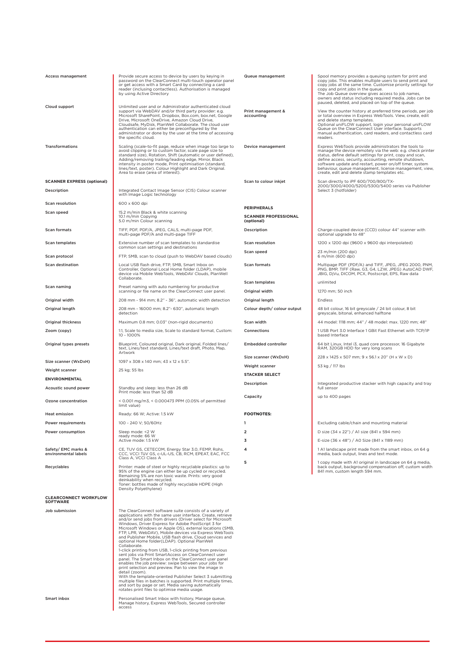| <b>Access management</b>                        | Provide secure access to device by users by keying in<br>password on the ClearConnect multi-touch operator panel<br>or get access with a Smart Card by connecting a card<br>reader (inclusing contactless). Authorisation is managed<br>by using Active Directory                                                                                                                                                                                                                                                                                                                                                                                                                                                                                                                                                                                                                                                                                                                                                                                    | Queue management                          | Spool memory provides a queuing system for print and<br>copy jobs. This enables multiple users to send print and<br>copy jobs at the same time. Customise priority settings for<br>copy and print jobs in the queue.<br>The Job Queue overview gives access to job names,<br>owners and status including required media. Jobs can be<br>paused, deleted, and placed on top of the queue.                      |
|-------------------------------------------------|------------------------------------------------------------------------------------------------------------------------------------------------------------------------------------------------------------------------------------------------------------------------------------------------------------------------------------------------------------------------------------------------------------------------------------------------------------------------------------------------------------------------------------------------------------------------------------------------------------------------------------------------------------------------------------------------------------------------------------------------------------------------------------------------------------------------------------------------------------------------------------------------------------------------------------------------------------------------------------------------------------------------------------------------------|-------------------------------------------|---------------------------------------------------------------------------------------------------------------------------------------------------------------------------------------------------------------------------------------------------------------------------------------------------------------------------------------------------------------------------------------------------------------|
| Cloud support                                   | Unlimited user and or Administrator authenticated cloud<br>support via WebDAV and/or third party provider: e.g.<br>Microsoft SharePoint, Dropbox, Box.com, box.net, Google<br>Drive, Microsoft OneDrive, Amazon Cloud Drive,<br>Cloudsafe, MyDisk, PlanWell Collaborate. The cloud user<br>authentication can either be preconfigured by the<br>administrator or done by the user at the time of accessing<br>the specific cloud.                                                                                                                                                                                                                                                                                                                                                                                                                                                                                                                                                                                                                    | Print management &<br>accounting          | View the counter history at preferred time periods, per job<br>or total overview in Express WebTools. View, create, edit<br>and delete stamp templates.<br>Optional uniFLOW support, login your personal uniFLOW<br>Queue on the ClearConnect User interface. Supports<br>manual authentication, card readers, and contactless card<br>readers.                                                               |
| Transformations                                 | Scaling (scale-to-fit page, reduce when image too large to<br>avoid clipping or to custom factor, scale page size to<br>standard size), Rotation, Shift (automatic or user defined),<br>Adding/removing trailing/leading edge, Mirror, Black<br>intensity in poster mode, Print optimisation (standard,<br>lines/text, poster). Colour Highlight and Dark Original.<br>Area to erase (area of interest).                                                                                                                                                                                                                                                                                                                                                                                                                                                                                                                                                                                                                                             | Device management                         | Express WebTools provide administrators the tools to<br>manage the device remotely via the web: e.g. check printer<br>status, define default settings for print, copy and scan,<br>define access, security, accounting, remote shutdown,<br>software update and restart, power on/off timer, system<br>behaviour, queue management, license management, view,<br>create, edit and delete stamp templates etc. |
| <b>SCANNER EXPRESS (optional)</b>               |                                                                                                                                                                                                                                                                                                                                                                                                                                                                                                                                                                                                                                                                                                                                                                                                                                                                                                                                                                                                                                                      | Scan to colour inkjet                     | Scan directly to iPF 600/700/800/TX-                                                                                                                                                                                                                                                                                                                                                                          |
| Description                                     | Integrated Contact Image Sensor (CIS) Colour scanner<br>with Image Logic technology                                                                                                                                                                                                                                                                                                                                                                                                                                                                                                                                                                                                                                                                                                                                                                                                                                                                                                                                                                  |                                           | 2000/3000/4000/5200/5300/5400 series via Publisher<br>Select 3 (hotfolder)                                                                                                                                                                                                                                                                                                                                    |
| Scan resolution                                 | 600 x 600 dpi                                                                                                                                                                                                                                                                                                                                                                                                                                                                                                                                                                                                                                                                                                                                                                                                                                                                                                                                                                                                                                        |                                           |                                                                                                                                                                                                                                                                                                                                                                                                               |
| Scan speed                                      | 15.2 m/min Black & white scanning                                                                                                                                                                                                                                                                                                                                                                                                                                                                                                                                                                                                                                                                                                                                                                                                                                                                                                                                                                                                                    | <b>PERIPHERALS</b>                        |                                                                                                                                                                                                                                                                                                                                                                                                               |
|                                                 | 10.1 m/min Copying<br>5.0 m/min Colour scanning                                                                                                                                                                                                                                                                                                                                                                                                                                                                                                                                                                                                                                                                                                                                                                                                                                                                                                                                                                                                      | <b>SCANNER PROFESSIONAL</b><br>(optional) |                                                                                                                                                                                                                                                                                                                                                                                                               |
| Scan formats                                    | TIFF, PDF, PDF/A, JPEG, CALS, multi-page PDF,<br>multi-page PDF/A and multi-page TIFF                                                                                                                                                                                                                                                                                                                                                                                                                                                                                                                                                                                                                                                                                                                                                                                                                                                                                                                                                                | Description                               | Charge-coupled device (CCD) colour 44" scanner with<br>optional upgrade to 48"                                                                                                                                                                                                                                                                                                                                |
| Scan templates                                  | Extensive number of scan templates to standardise<br>common scan settings and destinations                                                                                                                                                                                                                                                                                                                                                                                                                                                                                                                                                                                                                                                                                                                                                                                                                                                                                                                                                           | <b>Scan resolution</b>                    | 1200 x 1200 dpi (9600 x 9600 dpi interpolated)                                                                                                                                                                                                                                                                                                                                                                |
| Scan protocol                                   | FTP, SMB, scan to cloud (push to WebDAV based clouds)                                                                                                                                                                                                                                                                                                                                                                                                                                                                                                                                                                                                                                                                                                                                                                                                                                                                                                                                                                                                | Scan speed                                | 23 m/min (200 dpi)<br>6 m/min (600 dpi)                                                                                                                                                                                                                                                                                                                                                                       |
| <b>Scan destination</b>                         | Local USB flash drive, FTP, SMB, Smart Inbox on<br>Controller, Optional Local Home folder (LDAP), mobile<br>device via Mobile WebTools, WebDAV Clouds, PlanWell                                                                                                                                                                                                                                                                                                                                                                                                                                                                                                                                                                                                                                                                                                                                                                                                                                                                                      | Scan formats                              | Multipage PDF (PDF/A) and TIFF, JPEG, JPEG 2000, PNM,<br>PNG, BMP, TIFF (Raw, G3, G4, LZW, JPEG) AutoCAD DWF,<br>JBIG, DjVu, DICOM, PCX, Postscript, EPS, Raw data                                                                                                                                                                                                                                            |
| Scan naming                                     | Collaborate.<br>Preset naming with auto numbering for productive                                                                                                                                                                                                                                                                                                                                                                                                                                                                                                                                                                                                                                                                                                                                                                                                                                                                                                                                                                                     | Scan templates                            | unlimited                                                                                                                                                                                                                                                                                                                                                                                                     |
|                                                 | scanning or file name on the ClearConnect user panel.                                                                                                                                                                                                                                                                                                                                                                                                                                                                                                                                                                                                                                                                                                                                                                                                                                                                                                                                                                                                | Original width                            | 1270 mm; 50 inch                                                                                                                                                                                                                                                                                                                                                                                              |
| Original width                                  | 208 mm - 914 mm; 8.2" - 36", automatic width detection                                                                                                                                                                                                                                                                                                                                                                                                                                                                                                                                                                                                                                                                                                                                                                                                                                                                                                                                                                                               | Original length                           | Endless                                                                                                                                                                                                                                                                                                                                                                                                       |
| Original length                                 | 208 mm - 16000 mm; 8.2"- 630", automatic length<br>detection                                                                                                                                                                                                                                                                                                                                                                                                                                                                                                                                                                                                                                                                                                                                                                                                                                                                                                                                                                                         | Colour depth/ colour output               | 48 bit colour, 16 bit greyscale / 24 bit colour, 8 bit<br>greyscale, bitonal, enhanced halftone                                                                                                                                                                                                                                                                                                               |
| <b>Original thickness</b>                       | Maximum 0.8 mm; 0.03" (non-rigid documents)                                                                                                                                                                                                                                                                                                                                                                                                                                                                                                                                                                                                                                                                                                                                                                                                                                                                                                                                                                                                          | Scan width                                | 44 model: 1118 mm; 44" / 48 model: max. 1220 mm; 48"                                                                                                                                                                                                                                                                                                                                                          |
| Zoom (copy)                                     | 1:1, Scale to media size, Scale to standard format, Custom:<br>10 - 1000%                                                                                                                                                                                                                                                                                                                                                                                                                                                                                                                                                                                                                                                                                                                                                                                                                                                                                                                                                                            | Connections                               | 1 USB Port 3.0 Interface 1 GBit Fast Ethernet with TCP/IP<br>based Interface                                                                                                                                                                                                                                                                                                                                  |
| Original types presets                          | Blueprint, Coloured original, Dark original, Folded lines/<br>text, Lines/text standard, Lines/text draft, Photo, Map,<br>Artwork                                                                                                                                                                                                                                                                                                                                                                                                                                                                                                                                                                                                                                                                                                                                                                                                                                                                                                                    | <b>Embedded controller</b>                | 64 bit Linux, Intel i3, quad core processor, 16 Gigabyte<br>RAM, 320GB HDD for very long scans                                                                                                                                                                                                                                                                                                                |
| Size scanner (WxDxH)                            | 1097 x 308 x 140 mm; 43 x 12 x 5.5".                                                                                                                                                                                                                                                                                                                                                                                                                                                                                                                                                                                                                                                                                                                                                                                                                                                                                                                                                                                                                 | Size scanner (WxDxH)                      | 228 x 1425 x 507 mm; 9 x 56.1 x 20" (H x W x D)                                                                                                                                                                                                                                                                                                                                                               |
| Weight scanner                                  | 25 kg; 55 lbs                                                                                                                                                                                                                                                                                                                                                                                                                                                                                                                                                                                                                                                                                                                                                                                                                                                                                                                                                                                                                                        | Weight scanner                            | 53 kg / 117 lbs                                                                                                                                                                                                                                                                                                                                                                                               |
| <b>ENVIRONMENTAL</b>                            |                                                                                                                                                                                                                                                                                                                                                                                                                                                                                                                                                                                                                                                                                                                                                                                                                                                                                                                                                                                                                                                      | <b>STACKER SELECT</b>                     |                                                                                                                                                                                                                                                                                                                                                                                                               |
| Acoustic sound power                            | Standby and sleep: less than 26 dB<br>Print mode: less than 52 dB                                                                                                                                                                                                                                                                                                                                                                                                                                                                                                                                                                                                                                                                                                                                                                                                                                                                                                                                                                                    | Description                               | Integrated productive stacker with high capacity and tray<br>full sensor                                                                                                                                                                                                                                                                                                                                      |
| Ozone concentration                             | < 0.001 mg/m3, < 0.000473 PPM (0.05% of permitted<br>limit value)                                                                                                                                                                                                                                                                                                                                                                                                                                                                                                                                                                                                                                                                                                                                                                                                                                                                                                                                                                                    | Capacity                                  | up to 400 pages                                                                                                                                                                                                                                                                                                                                                                                               |
| <b>Heat emission</b>                            | Ready: 66 W; Active: 1.5 kW                                                                                                                                                                                                                                                                                                                                                                                                                                                                                                                                                                                                                                                                                                                                                                                                                                                                                                                                                                                                                          | <b>FOOTNOTES:</b>                         |                                                                                                                                                                                                                                                                                                                                                                                                               |
| Power requirements                              | 100 - 240 V: 50/60Hz                                                                                                                                                                                                                                                                                                                                                                                                                                                                                                                                                                                                                                                                                                                                                                                                                                                                                                                                                                                                                                 | $\mathbf{1}$                              | Excluding cable/chain and mounting material                                                                                                                                                                                                                                                                                                                                                                   |
| Power consumption                               | Sleep mode: <2 W<br>ready mode: 66 W                                                                                                                                                                                                                                                                                                                                                                                                                                                                                                                                                                                                                                                                                                                                                                                                                                                                                                                                                                                                                 | 2                                         | D size (34 x 22") / A1 size (841 x 594 mm)                                                                                                                                                                                                                                                                                                                                                                    |
|                                                 | Active mode: 1.5 kW                                                                                                                                                                                                                                                                                                                                                                                                                                                                                                                                                                                                                                                                                                                                                                                                                                                                                                                                                                                                                                  | 3                                         | E-size (36 x 48") / A0 Size (841 x 1189 mm)                                                                                                                                                                                                                                                                                                                                                                   |
| Safety/ EMC marks &<br>environmental labels     | CE, TUV GS, CETECOM, Energy Star 3.0, FEMP, Rohs,<br>CCC, VCCI TüV GS, c-UL-US, CB, RCM, EPEAT, EAC, FCC<br>Class A, VCCI Class A                                                                                                                                                                                                                                                                                                                                                                                                                                                                                                                                                                                                                                                                                                                                                                                                                                                                                                                    | 4                                         | 1 A1 landscape print made from the smart inbox, on 64 g<br>media, back output, lines and text mode.                                                                                                                                                                                                                                                                                                           |
| Recyclables                                     | Printer: made of steel or highly recyclable plastics: up to<br>95% of the engine can either be up cycled or recycled.<br>Remaining 5% are non toxic waste. Prints: very good<br>deinkability when recycled.<br>Toner: bottles made of highly recyclable HDPE (High<br>Density Polyethylene)                                                                                                                                                                                                                                                                                                                                                                                                                                                                                                                                                                                                                                                                                                                                                          | 5                                         | 1 copy made with A1 original in landscape on 64 g media,<br>back output, background compensation off, custom width<br>841 mm, custom length 594 mm.                                                                                                                                                                                                                                                           |
| <b>CLEARCONNECT WORKFLOW</b><br><b>SOFTWARE</b> |                                                                                                                                                                                                                                                                                                                                                                                                                                                                                                                                                                                                                                                                                                                                                                                                                                                                                                                                                                                                                                                      |                                           |                                                                                                                                                                                                                                                                                                                                                                                                               |
| Job submission                                  | The ClearConnect software suite consists of a variety of<br>applications with the same user interface. Create, retrieve<br>and/or send jobs from drivers (Driver select for Microsoft<br>Windows, Driver Express for Adobe PostScript 3 for<br>Microsoft Windows or Apple OS), external locations (SMB,<br>FTP, LPR, WebDAV), Mobile devices via Express WebTools<br>and Publisher Mobile, USB flash drive, Cloud services and<br>optional Home folder(LDAP). Optional PlanWell<br>Collaborate.<br>1-click printing from USB, 1-click printing from previous<br>sent jobs via Print SmartAccess on ClearConnect user<br>panel. The Smart Inbox on the ClearConnect user panel<br>enables the job preview: swipe between your jobs for<br>print selection and preview. Pan to view the image in<br>detail (zoom).<br>With the template-oriented Publisher Select 3 submitting<br>multiple files in batches is supported. Print multiple times,<br>and sort by page or set. Media saving automatically<br>rotates print files to optimise media usage. |                                           |                                                                                                                                                                                                                                                                                                                                                                                                               |

Personalised Smart Inbox with history, Manage queue, Manage history, Express WebTools, Secured controller access

Smart inbox